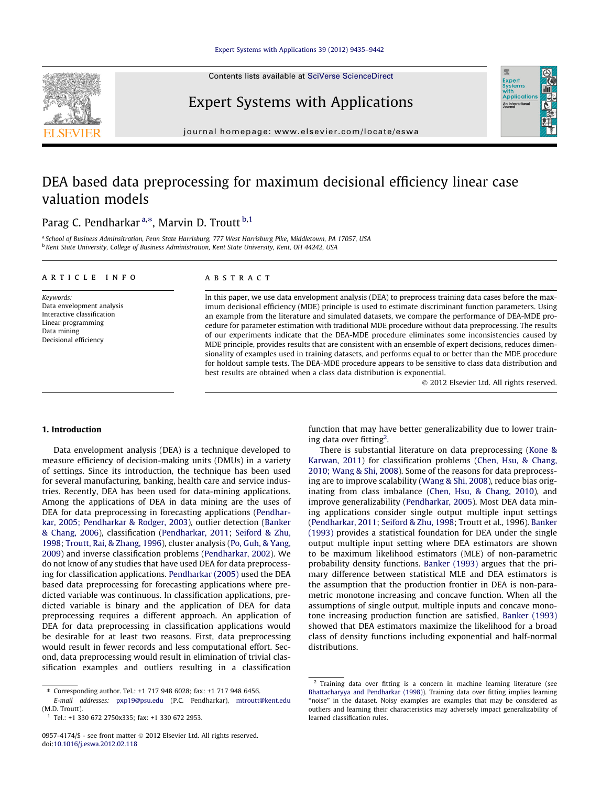Contents lists available at [SciVerse ScienceDirect](http://www.sciencedirect.com/science/journal/09574174)



# Expert Systems with Applications

journal homepage: [www.elsevier.com/locate/eswa](http://www.elsevier.com/locate/eswa)

## DEA based data preprocessing for maximum decisional efficiency linear case valuation models

### Parag C. Pendharkar<sup>a,</sup>\*, Marvin D. Troutt <sup>b,1</sup>

<sup>a</sup> School of Business Adminsitration, Penn State Harrisburg, 777 West Harrisburg Pike, Middletown, PA 17057, USA <sup>b</sup> Kent State University, College of Business Administration, Kent State University, Kent, OH 44242, USA

#### article info

Keywords: Data envelopment analysis Interactive classification Linear programming Data mining Decisional efficiency

#### ABSTRACT

In this paper, we use data envelopment analysis (DEA) to preprocess training data cases before the maximum decisional efficiency (MDE) principle is used to estimate discriminant function parameters. Using an example from the literature and simulated datasets, we compare the performance of DEA-MDE procedure for parameter estimation with traditional MDE procedure without data preprocessing. The results of our experiments indicate that the DEA-MDE procedure eliminates some inconsistencies caused by MDE principle, provides results that are consistent with an ensemble of expert decisions, reduces dimensionality of examples used in training datasets, and performs equal to or better than the MDE procedure for holdout sample tests. The DEA-MDE procedure appears to be sensitive to class data distribution and best results are obtained when a class data distribution is exponential.

- 2012 Elsevier Ltd. All rights reserved.

Expert<br>Syster Applicatio An Internat

#### 1. Introduction

Data envelopment analysis (DEA) is a technique developed to measure efficiency of decision-making units (DMUs) in a variety of settings. Since its introduction, the technique has been used for several manufacturing, banking, health care and service industries. Recently, DEA has been used for data-mining applications. Among the applications of DEA in data mining are the uses of DEA for data preprocessing in forecasting applications [\(Pendhar](#page--1-0)[kar, 2005; Pendharkar & Rodger, 2003\)](#page--1-0), outlier detection [\(Banker](#page--1-0) [& Chang, 2006\)](#page--1-0), classification ([Pendharkar, 2011](#page--1-0); [Seiford & Zhu,](#page--1-0) [1998;](#page--1-0) [Troutt, Rai, & Zhang, 1996](#page--1-0)), cluster analysis ([Po, Guh, & Yang,](#page--1-0) [2009](#page--1-0)) and inverse classification problems [\(Pendharkar, 2002](#page--1-0)). We do not know of any studies that have used DEA for data preprocessing for classification applications. [Pendharkar \(2005\)](#page--1-0) used the DEA based data preprocessing for forecasting applications where predicted variable was continuous. In classification applications, predicted variable is binary and the application of DEA for data preprocessing requires a different approach. An application of DEA for data preprocessing in classification applications would be desirable for at least two reasons. First, data preprocessing would result in fewer records and less computational effort. Second, data preprocessing would result in elimination of trivial classification examples and outliers resulting in a classification function that may have better generalizability due to lower training data over fitting<sup>2</sup>.

There is substantial literature on data preprocessing [\(Kone &](#page--1-0) [Karwan, 2011](#page--1-0)) for classification problems [\(Chen, Hsu, & Chang,](#page--1-0) [2010; Wang & Shi, 2008](#page--1-0)). Some of the reasons for data preprocessing are to improve scalability [\(Wang & Shi, 2008\)](#page--1-0), reduce bias originating from class imbalance ([Chen, Hsu, & Chang, 2010](#page--1-0)), and improve generalizability [\(Pendharkar, 2005\)](#page--1-0). Most DEA data mining applications consider single output multiple input settings ([Pendharkar, 2011;](#page--1-0) [Seiford & Zhu, 1998;](#page--1-0) Troutt et al., 1996). [Banker](#page--1-0) [\(1993\)](#page--1-0) provides a statistical foundation for DEA under the single output multiple input setting where DEA estimators are shown to be maximum likelihood estimators (MLE) of non-parametric probability density functions. [Banker \(1993\)](#page--1-0) argues that the primary difference between statistical MLE and DEA estimators is the assumption that the production frontier in DEA is non-parametric monotone increasing and concave function. When all the assumptions of single output, multiple inputs and concave monotone increasing production function are satisfied, [Banker \(1993\)](#page--1-0) showed that DEA estimators maximize the likelihood for a broad class of density functions including exponential and half-normal distributions.

<sup>⇑</sup> Corresponding author. Tel.: +1 717 948 6028; fax: +1 717 948 6456. E-mail addresses: [pxp19@psu.edu](mailto:pxp19@psu.edu) (P.C. Pendharkar), [mtroutt@kent.edu](mailto:mtroutt@kent.edu         )

<sup>(</sup>M.D. Troutt).

<sup>1</sup> Tel.: +1 330 672 2750x335; fax: +1 330 672 2953.

<sup>&</sup>lt;sup>2</sup> Training data over fitting is a concern in machine learning literature (see [Bhattacharyya and Pendharkar \(1998\)\)](#page--1-0). Training data over fitting implies learning ''noise'' in the dataset. Noisy examples are examples that may be considered as outliers and learning their characteristics may adversely impact generalizability of learned classification rules.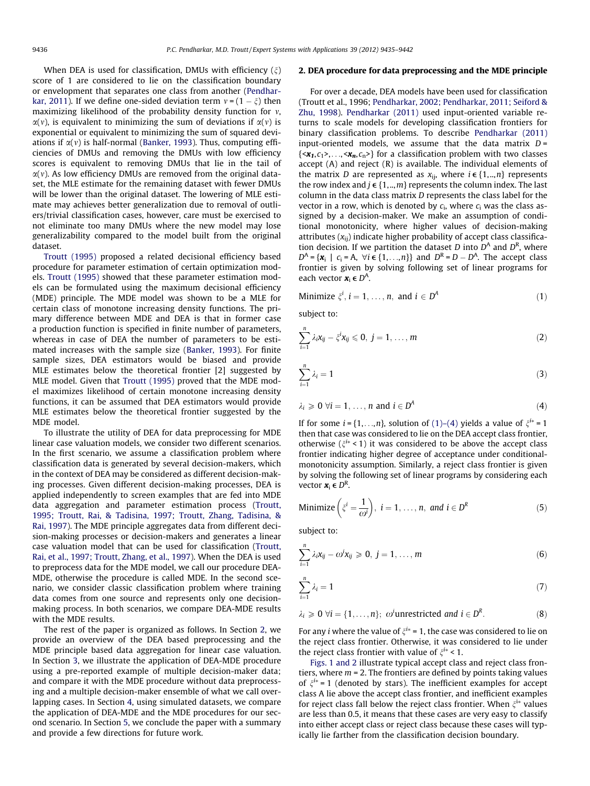When DEA is used for classification. DMUs with efficiency  $(\xi)$ score of 1 are considered to lie on the classification boundary or envelopment that separates one class from another [\(Pendhar](#page--1-0)[kar, 2011\)](#page--1-0). If we define one-sided deviation term  $v = (1 - \xi)$  then maximizing likelihood of the probability density function for  $v$ ,  $\alpha(v)$ , is equivalent to minimizing the sum of deviations if  $\alpha(v)$  is exponential or equivalent to minimizing the sum of squared deviations if  $\alpha(v)$  is half-normal [\(Banker, 1993](#page--1-0)). Thus, computing efficiencies of DMUs and removing the DMUs with low efficiency scores is equivalent to removing DMUs that lie in the tail of  $\alpha(v)$ . As low efficiency DMUs are removed from the original dataset, the MLE estimate for the remaining dataset with fewer DMUs will be lower than the original dataset. The lowering of MLE estimate may achieves better generalization due to removal of outliers/trivial classification cases, however, care must be exercised to not eliminate too many DMUs where the new model may lose generalizability compared to the model built from the original dataset.

[Troutt \(1995\)](#page--1-0) proposed a related decisional efficiency based procedure for parameter estimation of certain optimization models. [Troutt \(1995\)](#page--1-0) showed that these parameter estimation models can be formulated using the maximum decisional efficiency (MDE) principle. The MDE model was shown to be a MLE for certain class of monotone increasing density functions. The primary difference between MDE and DEA is that in former case a production function is specified in finite number of parameters, whereas in case of DEA the number of parameters to be estimated increases with the sample size [\(Banker, 1993](#page--1-0)). For finite sample sizes, DEA estimators would be biased and provide MLE estimates below the theoretical frontier [2] suggested by MLE model. Given that [Troutt \(1995\)](#page--1-0) proved that the MDE model maximizes likelihood of certain monotone increasing density functions, it can be assumed that DEA estimators would provide MLE estimates below the theoretical frontier suggested by the MDE model.

To illustrate the utility of DEA for data preprocessing for MDE linear case valuation models, we consider two different scenarios. In the first scenario, we assume a classification problem where classification data is generated by several decision-makers, which in the context of DEA may be considered as different decision-making processes. Given different decision-making processes, DEA is applied independently to screen examples that are fed into MDE data aggregation and parameter estimation process [\(Troutt,](#page--1-0) [1995; Troutt, Rai, & Tadisina, 1997; Troutt, Zhang, Tadisina, &](#page--1-0) [Rai, 1997\)](#page--1-0). The MDE principle aggregates data from different decision-making processes or decision-makers and generates a linear case valuation model that can be used for classification [\(Troutt,](#page--1-0) [Rai, et al., 1997; Troutt, Zhang, et al., 1997](#page--1-0)). When the DEA is used to preprocess data for the MDE model, we call our procedure DEA-MDE, otherwise the procedure is called MDE. In the second scenario, we consider classic classification problem where training data comes from one source and represents only one decisionmaking process. In both scenarios, we compare DEA-MDE results with the MDE results.

The rest of the paper is organized as follows. In Section 2, we provide an overview of the DEA based preprocessing and the MDE principle based data aggregation for linear case valuation. In Section [3](#page--1-0), we illustrate the application of DEA-MDE procedure using a pre-reported example of multiple decision-maker data; and compare it with the MDE procedure without data preprocessing and a multiple decision-maker ensemble of what we call overlapping cases. In Section [4](#page--1-0), using simulated datasets, we compare the application of DEA-MDE and the MDE procedures for our second scenario. In Section [5](#page--1-0), we conclude the paper with a summary and provide a few directions for future work.

#### 2. DEA procedure for data preprocessing and the MDE principle

For over a decade, DEA models have been used for classification (Troutt et al., 1996; [Pendharkar, 2002; Pendharkar, 2011; Seiford &](#page--1-0) [Zhu, 1998](#page--1-0)). [Pendharkar \(2011\)](#page--1-0) used input-oriented variable returns to scale models for developing classification frontiers for binary classification problems. To describe [Pendharkar \(2011\)](#page--1-0) input-oriented models, we assume that the data matrix  $D =$  $\{\langle x_1,c_1\rangle,\ldots,\langle x_n,c_n\rangle\}$  for a classification problem with two classes accept (A) and reject (R) is available. The individual elements of the matrix D are represented as  $x_{ii}$ , where  $i \in \{1,..,n\}$  represents the row index and  $j \in \{1,..,m\}$  represents the column index. The last column in the data class matrix D represents the class label for the vector in a row, which is denoted by  $c_i$ , where  $c_i$  was the class assigned by a decision-maker. We make an assumption of conditional monotonicity, where higher values of decision-making attributes  $(x_{ii})$  indicate higher probability of accept class classification decision. If we partition the dataset D into  $D^A$  and  $D^R$ , where  $D^A = \{x_i \mid c_i = A, \forall i \in \{1, \ldots, n\}\}\$ and  $D^R = D - D^A$ . The accept class frontier is given by solving following set of linear programs for each vector  $\mathbf{x}_i \in D^A$ .

Minimize 
$$
\xi^i
$$
,  $i = 1, ..., n$ , and  $i \in D^A$  (1)

subject to:

$$
\sum_{i=1}^n \lambda_i x_{ij} - \xi^i x_{ij} \leq 0, \ j = 1, \ldots, m
$$
 (2)

$$
\sum_{i=1}^{n} \lambda_i = 1 \tag{3}
$$

$$
\lambda_i \geqslant 0 \ \forall i = 1, \dots, n \text{ and } i \in D^A \tag{4}
$$

If for some  $i = \{1, \ldots, n\}$ , solution of  $(1)$ – $(4)$  yields a value of  $\xi^{i*} = 1$ then that case was considered to lie on the DEA accept class frontier, otherwise ( $\xi^{i*}$  < 1) it was considered to be above the accept class frontier indicating higher degree of acceptance under conditionalmonotonicity assumption. Similarly, a reject class frontier is given by solving the following set of linear programs by considering each vector  $\boldsymbol{x}_i \in D^R$ .

Minimize 
$$
\left(\xi^{i} = \frac{1}{\omega^{i}}\right)
$$
,  $i = 1, ..., n$ , and  $i \in D^{R}$  (5)

subject to:

$$
\sum_{i=1}^{n} \lambda_i x_{ij} - \omega^i x_{ij} \geqslant 0, \ j = 1, \ldots, m
$$
 (6)

$$
\sum_{i=1}^{n} \lambda_i = 1 \tag{7}
$$

$$
\lambda_i \geq 0 \ \forall i = \{1, \dots, n\}; \ \omega^i \text{unrestricted and } i \in D^R. \tag{8}
$$

For any *i* where the value of  $\xi^{i*} = 1$ , the case was considered to lie on the reject class frontier. Otherwise, it was considered to lie under the reject class frontier with value of  $\xi^{i*}$  < 1.

[Figs. 1 and 2](#page--1-0) illustrate typical accept class and reject class frontiers, where  $m = 2$ . The frontiers are defined by points taking values of  $\xi^{i*}$  = 1 (denoted by stars). The inefficient examples for accept class A lie above the accept class frontier, and inefficient examples for reject class fall below the reject class frontier. When  $\xi^{i*}$  values are less than 0.5, it means that these cases are very easy to classify into either accept class or reject class because these cases will typically lie farther from the classification decision boundary.